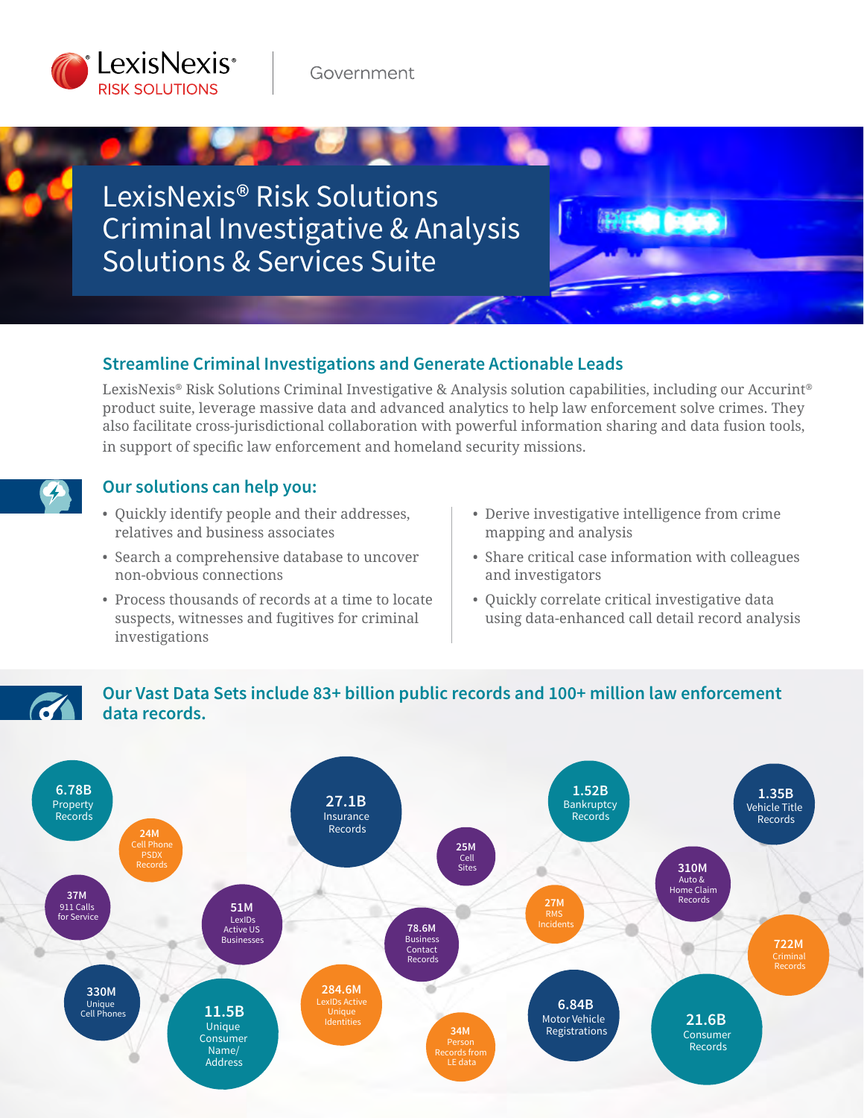

LexisNexis® Risk Solutions Criminal Investigative & Analysis Solutions & Services Suite

## **Streamline Criminal Investigations and Generate Actionable Leads**

LexisNexis® Risk Solutions Criminal Investigative & Analysis solution capabilities, including our Accurint® product suite, leverage massive data and advanced analytics to help law enforcement solve crimes. They also facilitate cross-jurisdictional collaboration with powerful information sharing and data fusion tools, in support of specific law enforcement and homeland security missions.



## **Our solutions can help you:**

- Quickly identify people and their addresses, relatives and business associates
- Search a comprehensive database to uncover non-obvious connections
- Process thousands of records at a time to locate suspects, witnesses and fugitives for criminal investigations
- Derive investigative intelligence from crime mapping and analysis
- Share critical case information with colleagues and investigators
- Quickly correlate critical investigative data using data-enhanced call detail record analysis

# **Our Vast Data Sets include 83+ billion public records and 100+ million law enforcement data records.**